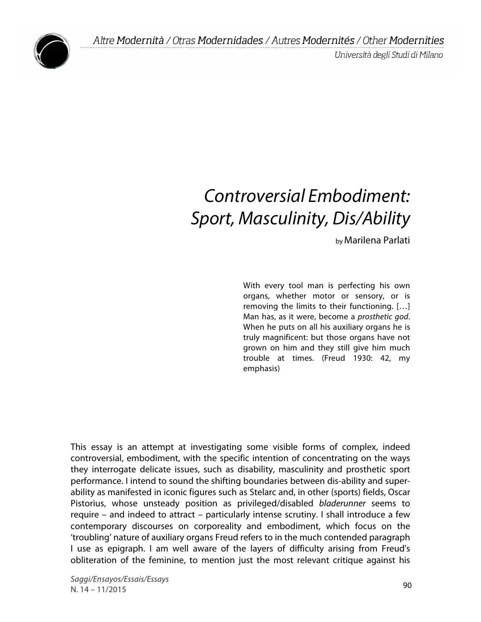Università degli Studi di Milano



# *Controversial Embodiment: Sport, Masculinity, Dis/Ability*

by Marilena Parlati

With every tool man is perfecting his own organs, whether motor or sensory, or is removing the limits to their functioning. […] Man has, as it were, become a *prosthetic god*. When he puts on all his auxiliary organs he is truly magnificent: but those organs have not grown on him and they still give him much trouble at times. (Freud 1930: 42, my emphasis)

This essay is an attempt at investigating some visible forms of complex, indeed controversial, embodiment, with the specific intention of concentrating on the ways they interrogate delicate issues, such as disability, masculinity and prosthetic sport performance. I intend to sound the shifting boundaries between dis-ability and superability as manifested in iconic figures such as Stelarc and, in other (sports) fields, Oscar Pistorius, whose unsteady position as privileged/disabled *bladerunner* seems to require – and indeed to attract – particularly intense scrutiny. I shall introduce a few contemporary discourses on corporeality and embodiment, which focus on the 'troubling' nature of auxiliary organs Freud refers to in the much contended paragraph I use as epigraph. I am well aware of the layers of difficulty arising from Freud's obliteration of the feminine, to mention just the most relevant critique against his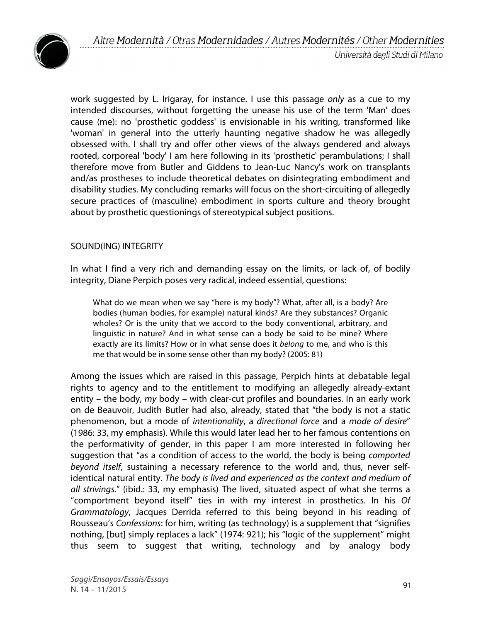

work suggested by L. Irigaray, for instance. I use this passage *only* as a cue to my intended discourses, without forgetting the unease his use of the term 'Man' does cause (me): no 'prosthetic goddess' is envisionable in his writing, transformed like 'woman' in general into the utterly haunting negative shadow he was allegedly obsessed with. I shall try and offer other views of the always gendered and always rooted, corporeal 'body' I am here following in its 'prosthetic' perambulations; I shall therefore move from Butler and Giddens to Jean-Luc Nancy's work on transplants and/as prostheses to include theoretical debates on disintegrating embodiment and disability studies. My concluding remarks will focus on the short-circuiting of allegedly secure practices of (masculine) embodiment in sports culture and theory brought about by prosthetic questionings of stereotypical subject positions.

### SOUND(ING) INTEGRITY

In what I find a very rich and demanding essay on the limits, or lack of, of bodily integrity, Diane Perpich poses very radical, indeed essential, questions:

What do we mean when we say "here is my body"? What, after all, is a body? Are bodies (human bodies, for example) natural kinds? Are they substances? Organic wholes? Or is the unity that we accord to the body conventional, arbitrary, and linguistic in nature? And in what sense can a body be said to be mine? Where exactly are its limits? How or in what sense does it *belong* to me, and who is this me that would be in some sense other than my body? (2005: 81)

Among the issues which are raised in this passage, Perpich hints at debatable legal rights to agency and to the entitlement to modifying an allegedly already-extant entity – the body, *my* body – with clear-cut profiles and boundaries. In an early work on de Beauvoir, Judith Butler had also, already, stated that "the body is not a static phenomenon, but a mode of *intentionality*, a *directional force* and a *mode of desire*" (1986: 33, my emphasis). While this would later lead her to her famous contentions on the performativity of gender, in this paper I am more interested in following her suggestion that "as a condition of access to the world, the body is being *comported beyond itself*, sustaining a necessary reference to the world and, thus, never selfidentical natural entity. *The body is lived and experienced as the context and medium of all strivings.*" (ibid.: 33, my emphasis) The lived, situated aspect of what she terms a "comportment beyond itself" ties in with my interest in prosthetics. In his *Of Grammatology*, Jacques Derrida referred to this being beyond in his reading of Rousseau's *Confessions*: for him, writing (as technology) is a supplement that "signifies nothing, [but] simply replaces a lack" (1974: 921); his "logic of the supplement" might thus seem to suggest that writing, technology and by analogy body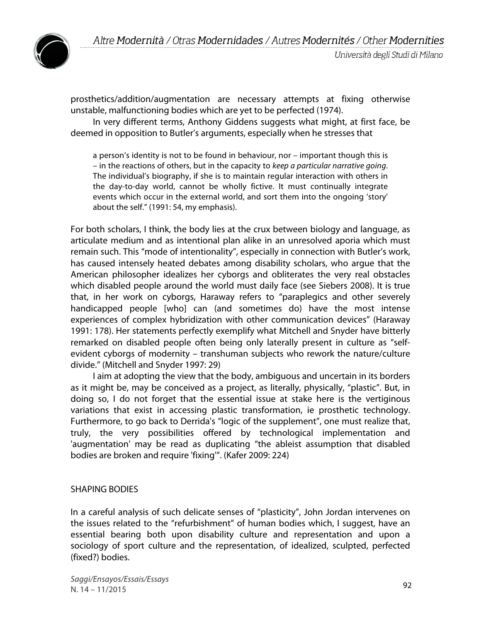

prosthetics/addition/augmentation are necessary attempts at fixing otherwise unstable, malfunctioning bodies which are yet to be perfected (1974).

In very different terms, Anthony Giddens suggests what might, at first face, be deemed in opposition to Butler's arguments, especially when he stresses that

a person's identity is not to be found in behaviour, nor – important though this is – in the reactions of others, but in the capacity to *keep a particular narrative going*. The individual's biography, if she is to maintain regular interaction with others in the day-to-day world, cannot be wholly fictive. It must continually integrate events which occur in the external world, and sort them into the ongoing 'story' about the self." (1991: 54, my emphasis).

For both scholars, I think, the body lies at the crux between biology and language, as articulate medium and as intentional plan alike in an unresolved aporia which must remain such. This "mode of intentionality", especially in connection with Butler's work, has caused intensely heated debates among disability scholars, who argue that the American philosopher idealizes her cyborgs and obliterates the very real obstacles which disabled people around the world must daily face (see Siebers 2008). It is true that, in her work on cyborgs, Haraway refers to "paraplegics and other severely handicapped people [who] can (and sometimes do) have the most intense experiences of complex hybridization with other communication devices" (Haraway 1991: 178). Her statements perfectly exemplify what Mitchell and Snyder have bitterly remarked on disabled people often being only laterally present in culture as "selfevident cyborgs of modernity – transhuman subjects who rework the nature/culture divide." (Mitchell and Snyder 1997: 29)

I aim at adopting the view that the body, ambiguous and uncertain in its borders as it might be, may be conceived as a project, as literally, physically, "plastic". But, in doing so, I do not forget that the essential issue at stake here is the vertiginous variations that exist in accessing plastic transformation, ie prosthetic technology. Furthermore, to go back to Derrida's "logic of the supplement", one must realize that, truly, the very possibilities offered by technological implementation and 'augmentation' may be read as duplicating "the ableist assumption that disabled bodies are broken and require 'fixing'". (Kafer 2009: 224)

## SHAPING BODIES

In a careful analysis of such delicate senses of "plasticity", John Jordan intervenes on the issues related to the "refurbishment" of human bodies which, I suggest, have an essential bearing both upon disability culture and representation and upon a sociology of sport culture and the representation, of idealized, sculpted, perfected (fixed?) bodies.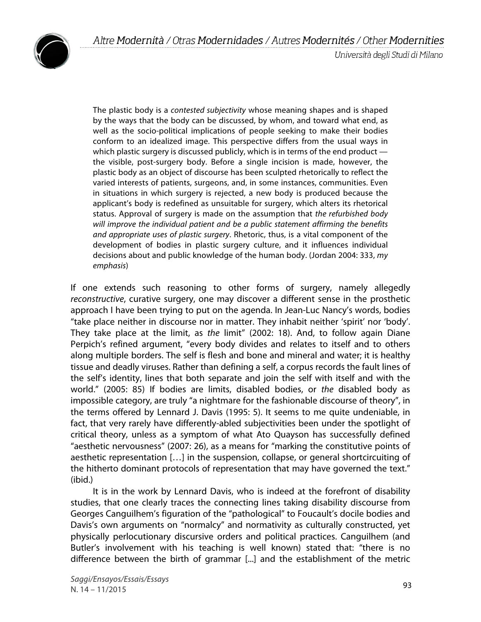

The plastic body is a *contested subjectivity* whose meaning shapes and is shaped by the ways that the body can be discussed, by whom, and toward what end, as well as the socio-political implications of people seeking to make their bodies conform to an idealized image. This perspective differs from the usual ways in which plastic surgery is discussed publicly, which is in terms of the end product  $$ the visible, post-surgery body. Before a single incision is made, however, the plastic body as an object of discourse has been sculpted rhetorically to reflect the varied interests of patients, surgeons, and, in some instances, communities. Even in situations in which surgery is rejected, a new body is produced because the applicant's body is redefined as unsuitable for surgery, which alters its rhetorical status. Approval of surgery is made on the assumption that *the refurbished body will improve the individual patient and be a public statement affirming the benefits and appropriate uses of plastic surgery*. Rhetoric, thus, is a vital component of the development of bodies in plastic surgery culture, and it influences individual decisions about and public knowledge of the human body. (Jordan 2004: 333, *my emphasis*)

If one extends such reasoning to other forms of surgery, namely allegedly *reconstructive*, curative surgery, one may discover a different sense in the prosthetic approach I have been trying to put on the agenda. In Jean-Luc Nancy's words, bodies "take place neither in discourse nor in matter. They inhabit neither 'spirit' nor 'body'. They take place at the limit, as *the* limit" (2002: 18). And, to follow again Diane Perpich's refined argument, "every body divides and relates to itself and to others along multiple borders. The self is flesh and bone and mineral and water; it is healthy tissue and deadly viruses. Rather than defining a self, a corpus records the fault lines of the self's identity, lines that both separate and join the self with itself and with the world." (2005: 85) If bodies are limits, disabled bodies, or *the* disabled body as impossible category, are truly "a nightmare for the fashionable discourse of theory", in the terms offered by Lennard J. Davis (1995: 5). It seems to me quite undeniable, in fact, that very rarely have differently-abled subjectivities been under the spotlight of critical theory, unless as a symptom of what Ato Quayson has successfully defined "aesthetic nervousness" (2007: 26), as a means for "marking the constitutive points of aesthetic representation […] in the suspension, collapse, or general shortcircuiting of the hitherto dominant protocols of representation that may have governed the text." (ibid.)

It is in the work by Lennard Davis, who is indeed at the forefront of disability studies, that one clearly traces the connecting lines taking disability discourse from Georges Canguilhem's figuration of the "pathological" to Foucault's docile bodies and Davis's own arguments on "normalcy" and normativity as culturally constructed, yet physically perlocutionary discursive orders and political practices. Canguilhem (and Butler's involvement with his teaching is well known) stated that: "there is no difference between the birth of grammar [...] and the establishment of the metric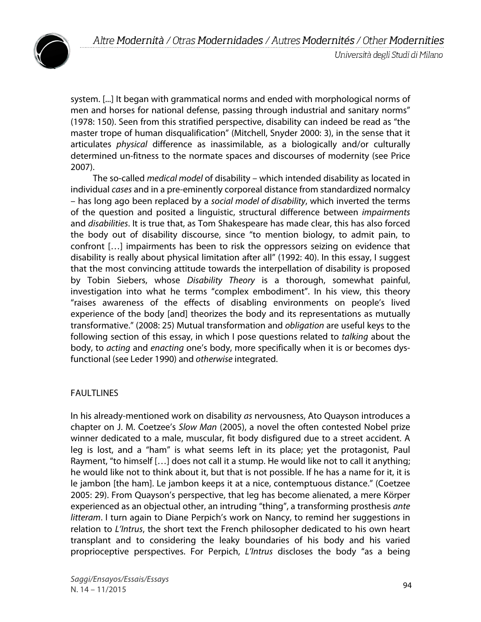



system. [...] It began with grammatical norms and ended with morphological norms of men and horses for national defense, passing through industrial and sanitary norms" (1978: 150). Seen from this stratified perspective, disability can indeed be read as "the master trope of human disqualification" (Mitchell, Snyder 2000: 3), in the sense that it articulates *physical* difference as inassimilable, as a biologically and/or culturally determined un-fitness to the normate spaces and discourses of modernity (see Price 2007).

The so-called *medical model* of disability – which intended disability as located in individual *cases* and in a pre-eminently corporeal distance from standardized normalcy – has long ago been replaced by a *social model of disability*, which inverted the terms of the question and posited a linguistic, structural difference between *impairments* and *disabilities*. It is true that, as Tom Shakespeare has made clear, this has also forced the body out of disability discourse, since "to mention biology, to admit pain, to confront […] impairments has been to risk the oppressors seizing on evidence that disability is really about physical limitation after all" (1992: 40). In this essay, I suggest that the most convincing attitude towards the interpellation of disability is proposed by Tobin Siebers, whose *Disability Theory* is a thorough, somewhat painful, investigation into what he terms "complex embodiment". In his view, this theory "raises awareness of the effects of disabling environments on people's lived experience of the body [and] theorizes the body and its representations as mutually transformative." (2008: 25) Mutual transformation and *obligation* are useful keys to the following section of this essay, in which I pose questions related to *talking* about the body, to *acting* and *enacting* one's body, more specifically when it is or becomes dysfunctional (see Leder 1990) and *otherwise* integrated.

## FAULTLINES

In his already-mentioned work on disability *as* nervousness, Ato Quayson introduces a chapter on J. M. Coetzee's *Slow Man* (2005), a novel the often contested Nobel prize winner dedicated to a male, muscular, fit body disfigured due to a street accident. A leg is lost, and a "ham" is what seems left in its place; yet the protagonist, Paul Rayment, "to himself […] does not call it a stump. He would like not to call it anything; he would like not to think about it, but that is not possible. If he has a name for it, it is le jambon [the ham]. Le jambon keeps it at a nice, contemptuous distance." (Coetzee 2005: 29). From Quayson's perspective, that leg has become alienated, a mere Körper experienced as an objectual other, an intruding "thing", a transforming prosthesis *ante litteram*. I turn again to Diane Perpich's work on Nancy, to remind her suggestions in relation to *L'Intrus*, the short text the French philosopher dedicated to his own heart transplant and to considering the leaky boundaries of his body and his varied proprioceptive perspectives. For Perpich, *L'Intrus* discloses the body "as a being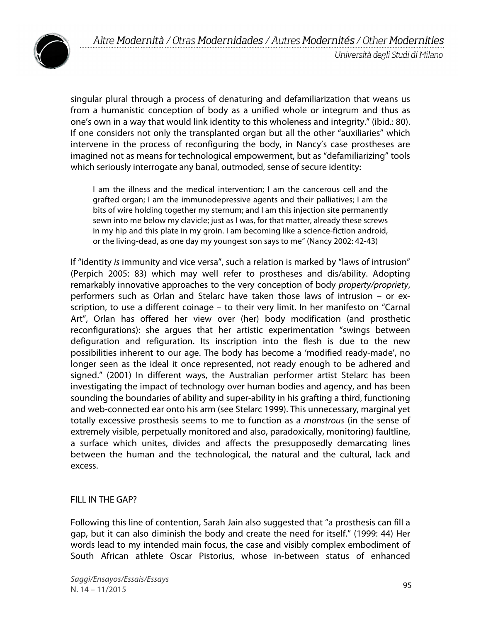

Università degli Studi di Milano

singular plural through a process of denaturing and defamiliarization that weans us from a humanistic conception of body as a unified whole or integrum and thus as one's own in a way that would link identity to this wholeness and integrity." (ibid.: 80). If one considers not only the transplanted organ but all the other "auxiliaries" which intervene in the process of reconfiguring the body, in Nancy's case prostheses are imagined not as means for technological empowerment, but as "defamiliarizing" tools which seriously interrogate any banal, outmoded, sense of secure identity:

I am the illness and the medical intervention; I am the cancerous cell and the grafted organ; I am the immunodepressive agents and their palliatives; I am the bits of wire holding together my sternum; and I am this injection site permanently sewn into me below my clavicle; just as I was, for that matter, already these screws in my hip and this plate in my groin. I am becoming like a science-fiction android, or the living-dead, as one day my youngest son says to me" (Nancy 2002: 42-43)

If "identity *is* immunity and vice versa", such a relation is marked by "laws of intrusion" (Perpich 2005: 83) which may well refer to prostheses and dis/ability. Adopting remarkably innovative approaches to the very conception of body *property/propriety*, performers such as Orlan and Stelarc have taken those laws of intrusion – or exscription, to use a different coinage – to their very limit. In her manifesto on "Carnal Art", Orlan has offered her view over (her) body modification (and prosthetic reconfigurations): she argues that her artistic experimentation "swings between defiguration and refiguration. Its inscription into the flesh is due to the new possibilities inherent to our age. The body has become a 'modified ready-made', no longer seen as the ideal it once represented, not ready enough to be adhered and signed." (2001) In different ways, the Australian performer artist Stelarc has been investigating the impact of technology over human bodies and agency, and has been sounding the boundaries of ability and super-ability in his grafting a third, functioning and web-connected ear onto his arm (see Stelarc 1999). This unnecessary, marginal yet totally excessive prosthesis seems to me to function as a *monstrous* (in the sense of extremely visible, perpetually monitored and also, paradoxically, monitoring) faultline, a surface which unites, divides and affects the presupposedly demarcating lines between the human and the technological, the natural and the cultural, lack and excess.

## FILL IN THE GAP?

Following this line of contention, Sarah Jain also suggested that "a prosthesis can fill a gap, but it can also diminish the body and create the need for itself." (1999: 44) Her words lead to my intended main focus, the case and visibly complex embodiment of South African athlete Oscar Pistorius, whose in-between status of enhanced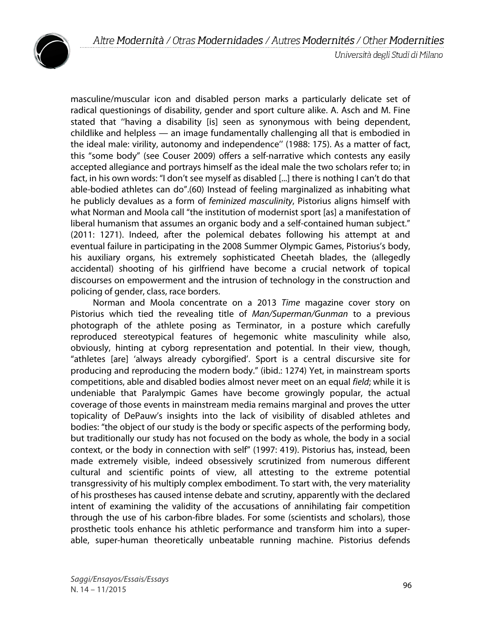

masculine/muscular icon and disabled person marks a particularly delicate set of radical questionings of disability, gender and sport culture alike. A. Asch and M. Fine stated that ''having a disability [is] seen as synonymous with being dependent, childlike and helpless — an image fundamentally challenging all that is embodied in the ideal male: virility, autonomy and independence'' (1988: 175). As a matter of fact, this "some body" (see Couser 2009) offers a self-narrative which contests any easily accepted allegiance and portrays himself as the ideal male the two scholars refer to; in fact, in his own words: "I don't see myself as disabled [...] there is nothing I can't do that able-bodied athletes can do".(60) Instead of feeling marginalized as inhabiting what he publicly devalues as a form of *feminized masculinity*, Pistorius aligns himself with what Norman and Moola call "the institution of modernist sport [as] a manifestation of liberal humanism that assumes an organic body and a self-contained human subject." (2011: 1271). Indeed, after the polemical debates following his attempt at and eventual failure in participating in the 2008 Summer Olympic Games, Pistorius's body, his auxiliary organs, his extremely sophisticated Cheetah blades, the (allegedly accidental) shooting of his girlfriend have become a crucial network of topical discourses on empowerment and the intrusion of technology in the construction and policing of gender, class, race borders.

Norman and Moola concentrate on a 2013 *Time* magazine cover story on Pistorius which tied the revealing title of *Man/Superman/Gunman* to a previous photograph of the athlete posing as Terminator, in a posture which carefully reproduced stereotypical features of hegemonic white masculinity while also, obviously, hinting at cyborg representation and potential. In their view, though, "athletes [are] 'always already cyborgified'. Sport is a central discursive site for producing and reproducing the modern body." (ibid.: 1274) Yet, in mainstream sports competitions, able and disabled bodies almost never meet on an equal *field*; while it is undeniable that Paralympic Games have become growingly popular, the actual coverage of those events in mainstream media remains marginal and proves the utter topicality of DePauw's insights into the lack of visibility of disabled athletes and bodies: "the object of our study is the body or specific aspects of the performing body, but traditionally our study has not focused on the body as whole, the body in a social context, or the body in connection with self" (1997: 419). Pistorius has, instead, been made extremely visible, indeed obsessively scrutinized from numerous different cultural and scientific points of view, all attesting to the extreme potential transgressivity of his multiply complex embodiment. To start with, the very materiality of his prostheses has caused intense debate and scrutiny, apparently with the declared intent of examining the validity of the accusations of annihilating fair competition through the use of his carbon-fibre blades. For some (scientists and scholars), those prosthetic tools enhance his athletic performance and transform him into a superable, super-human theoretically unbeatable running machine. Pistorius defends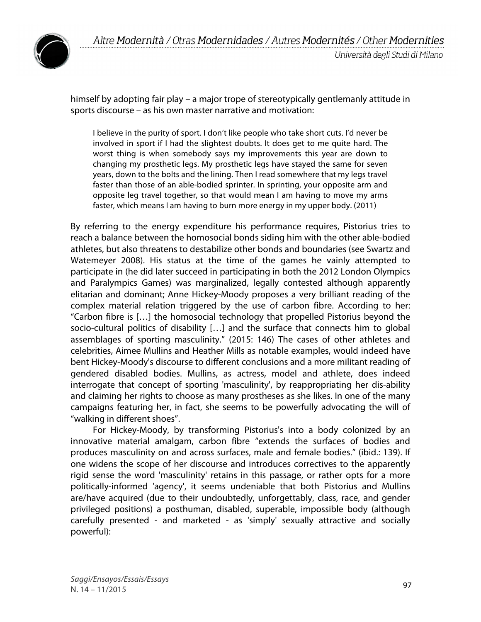

himself by adopting fair play – a major trope of stereotypically gentlemanly attitude in sports discourse – as his own master narrative and motivation:

I believe in the purity of sport. I don't like people who take short cuts. I'd never be involved in sport if I had the slightest doubts. It does get to me quite hard. The worst thing is when somebody says my improvements this year are down to changing my prosthetic legs. My prosthetic legs have stayed the same for seven years, down to the bolts and the lining. Then I read somewhere that my legs travel faster than those of an able-bodied sprinter. In sprinting, your opposite arm and opposite leg travel together, so that would mean I am having to move my arms faster, which means I am having to burn more energy in my upper body. (2011)

By referring to the energy expenditure his performance requires, Pistorius tries to reach a balance between the homosocial bonds siding him with the other able-bodied athletes, but also threatens to destabilize other bonds and boundaries (see Swartz and Watemeyer 2008). His status at the time of the games he vainly attempted to participate in (he did later succeed in participating in both the 2012 London Olympics and Paralympics Games) was marginalized, legally contested although apparently elitarian and dominant; Anne Hickey-Moody proposes a very brilliant reading of the complex material relation triggered by the use of carbon fibre. According to her: "Carbon fibre is […] the homosocial technology that propelled Pistorius beyond the socio-cultural politics of disability […] and the surface that connects him to global assemblages of sporting masculinity." (2015: 146) The cases of other athletes and celebrities, Aimee Mullins and Heather Mills as notable examples, would indeed have bent Hickey-Moody's discourse to different conclusions and a more militant reading of gendered disabled bodies. Mullins, as actress, model and athlete, does indeed interrogate that concept of sporting 'masculinity', by reappropriating her dis-ability and claiming her rights to choose as many prostheses as she likes. In one of the many campaigns featuring her, in fact, she seems to be powerfully advocating the will of "walking in different shoes".

For Hickey-Moody, by transforming Pistorius's into a body colonized by an innovative material amalgam, carbon fibre "extends the surfaces of bodies and produces masculinity on and across surfaces, male and female bodies." (ibid.: 139). If one widens the scope of her discourse and introduces correctives to the apparently rigid sense the word 'masculinity' retains in this passage, or rather opts for a more politically-informed 'agency', it seems undeniable that both Pistorius and Mullins are/have acquired (due to their undoubtedly, unforgettably, class, race, and gender privileged positions) a posthuman, disabled, superable, impossible body (although carefully presented - and marketed - as 'simply' sexually attractive and socially powerful):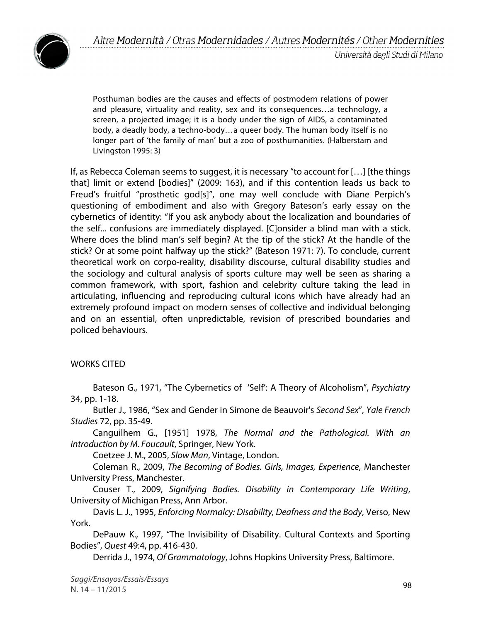

Posthuman bodies are the causes and effects of postmodern relations of power and pleasure, virtuality and reality, sex and its consequences…a technology, a screen, a projected image; it is a body under the sign of AIDS, a contaminated body, a deadly body, a techno-body…a queer body. The human body itself is no longer part of 'the family of man' but a zoo of posthumanities. (Halberstam and Livingston 1995: 3)

If, as Rebecca Coleman seems to suggest, it is necessary "to account for […] [the things that] limit or extend [bodies]" (2009: 163), and if this contention leads us back to Freud's fruitful "prosthetic god[s]", one may well conclude with Diane Perpich's questioning of embodiment and also with Gregory Bateson's early essay on the cybernetics of identity: "If you ask anybody about the localization and boundaries of the self... confusions are immediately displayed. [C]onsider a blind man with a stick. Where does the blind man's self begin? At the tip of the stick? At the handle of the stick? Or at some point halfway up the stick?" (Bateson 1971: 7). To conclude, current theoretical work on corpo-reality, disability discourse, cultural disability studies and the sociology and cultural analysis of sports culture may well be seen as sharing a common framework, with sport, fashion and celebrity culture taking the lead in articulating, influencing and reproducing cultural icons which have already had an extremely profound impact on modern senses of collective and individual belonging and on an essential, often unpredictable, revision of prescribed boundaries and policed behaviours.

## WORKS CITED

Bateson G., 1971, "The Cybernetics of 'Self': A Theory of Alcoholism", *Psychiatry*  34, pp. 1-18.

Butler J., 1986, "Sex and Gender in Simone de Beauvoir's *Second Sex*", *Yale French Studies* 72, pp. 35-49.

Canguilhem G., [1951] 1978, *The Normal and the Pathological. With an introduction by M. Foucault*, Springer, New York.

Coetzee J. M., 2005, *Slow Man*, Vintage, London.

Coleman R., 2009, *The Becoming of Bodies. Girls, Images, Experience*, Manchester University Press, Manchester.

Couser T., 2009, *Signifying Bodies. Disability in Contemporary Life Writing*, University of Michigan Press, Ann Arbor.

Davis L. J., 1995, *Enforcing Normalcy: Disability, Deafness and the Body*, Verso, New York.

DePauw K., 1997, "The Invisibility of Disability. Cultural Contexts and Sporting Bodies", *Quest* 49:4, pp. 416-430.

Derrida J., 1974, *Of Grammatology*, Johns Hopkins University Press, Baltimore.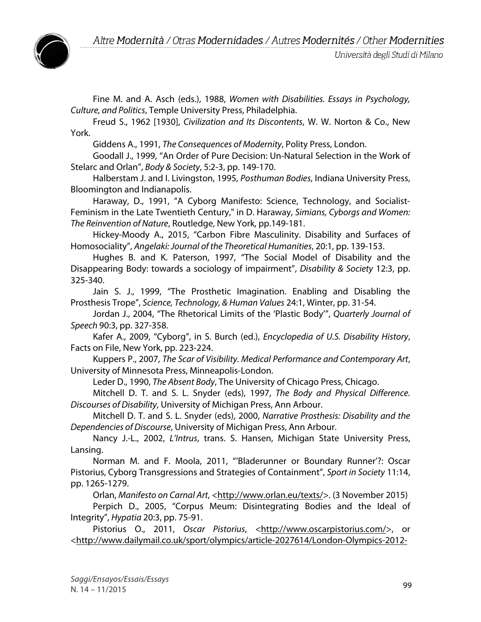

Università degli Studi di Milano

Fine M. and A. Asch (eds.), 1988, *Women with Disabilities. Essays in Psychology, Culture, and Politics*, Temple University Press, Philadelphia.

Freud S., 1962 [1930], *Civilization and Its Discontents*, W. W. Norton & Co., New York.

Giddens A., 1991, *The Consequences of Modernity*, Polity Press, London.

Goodall J., 1999, "An Order of Pure Decision: Un-Natural Selection in the Work of Stelarc and Orlan", *Body & Society*, 5:2-3, pp. 149-170.

Halberstam J. and I. Livingston, 1995, *Posthuman Bodies*, Indiana University Press, Bloomington and Indianapolis.

Haraway, D., 1991, "A Cyborg Manifesto: Science, Technology, and Socialist-Feminism in the Late Twentieth Century," in D. Haraway, *Simians, Cyborgs and Women: The Reinvention of Nature*, Routledge, New York, pp.149-181.

Hickey-Moody A., 2015, "Carbon Fibre Masculinity. Disability and Surfaces of Homosociality", *Angelaki:Journal of the Theoretical Humanities*, 20:1, pp. 139-153.

Hughes B. and K. Paterson, 1997, "The Social Model of Disability and the Disappearing Body: towards a sociology of impairment", *Disability & Society* 12:3, pp. 325-340.

Jain S. J., 1999, "The Prosthetic Imagination. Enabling and Disabling the Prosthesis Trope", *Science, Technology, & Human Values* 24:1, Winter, pp. 31-54.

Jordan J., 2004, "The Rhetorical Limits of the 'Plastic Body'", *Quarterly Journal of Speech* 90:3, pp. 327-358.

Kafer A., 2009, "Cyborg", in S. Burch (ed.), *Encyclopedia of U.S. Disability History*, Facts on File, New York, pp. 223-224.

Kuppers P., 2007, *The Scar of Visibility. Medical Performance and Contemporary Art*, University of Minnesota Press, Minneapolis-London.

Leder D., 1990, *The Absent Body*, The University of Chicago Press, Chicago.

Mitchell D. T. and S. L. Snyder (eds), 1997, *The Body and Physical Difference. Discourses of Disability*, University of Michigan Press, Ann Arbour.

Mitchell D. T. and S. L. Snyder (eds), 2000, *Narrative Prosthesis: Disability and the Dependencies of Discourse*, University of Michigan Press, Ann Arbour.

Nancy J.-L., 2002, *L'Intrus*, trans. S. Hansen, Michigan State University Press, Lansing.

Norman M. and F. Moola, 2011, "'Bladerunner or Boundary Runner'?: Oscar Pistorius, Cyborg Transgressions and Strategies of Containment", *Sport in Society* 11:14, pp. 1265-1279.

Orlan, *Manifesto on Carnal Art*, <http://www.orlan.eu/texts/>. (3 November 2015)

Perpich D., 2005, "Corpus Meum: Disintegrating Bodies and the Ideal of Integrity", *Hypatia* 20:3, pp. 75-91.

Pistorius O., 2011, *Oscar Pistorius*, <http://www.oscarpistorius.com/>, or <http://www.dailymail.co.uk/sport/olympics/article-2027614/London-Olympics-2012-